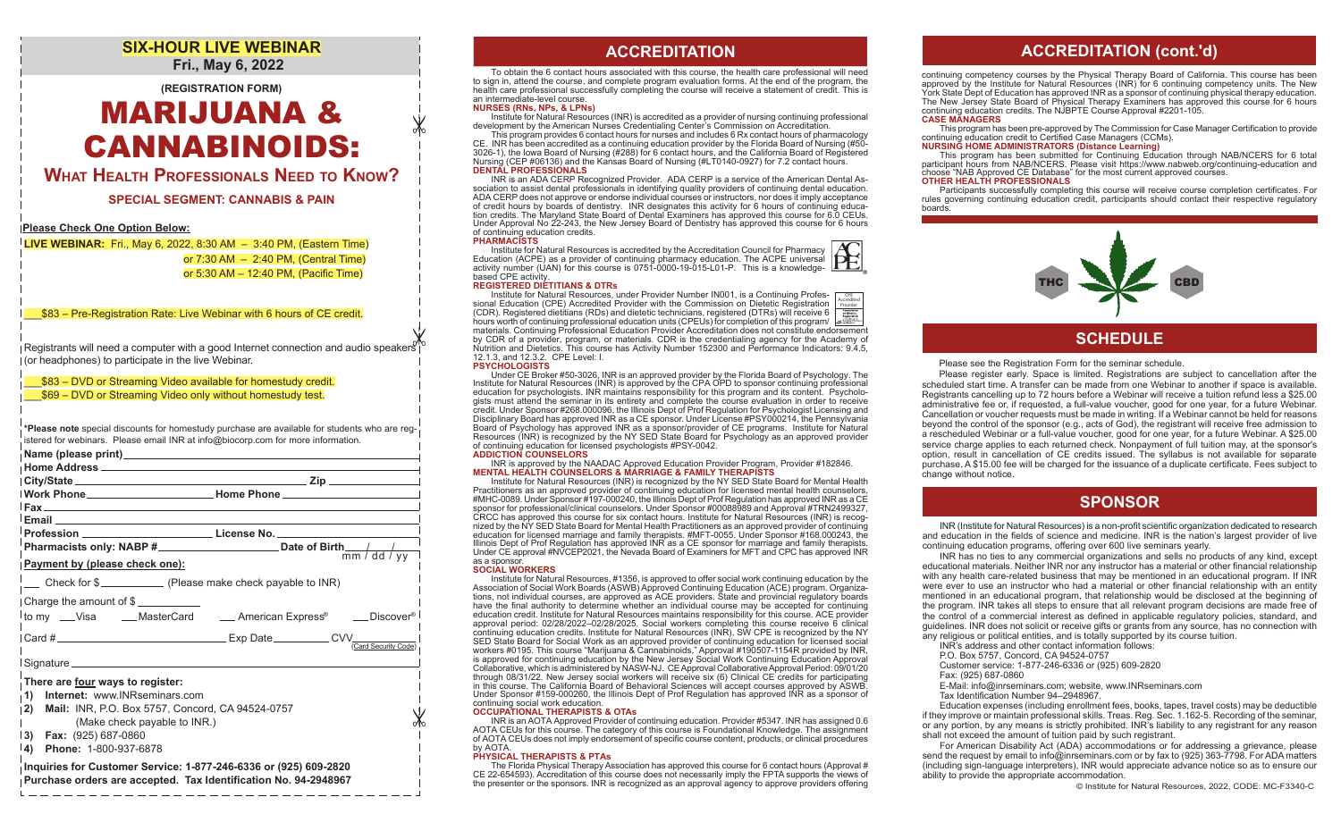## **SIX-HOUR LIVE WEBINAR Fri., May 6, 2022**

**(REGISTRATION FORM)**

# MARIJUANA & CANNABINOIDS:

**What Health Professionals Need to Know?**

**SPECIAL SEGMENT: CANNABIS & PAIN**

#### **Please Check One Option Below:**

**LIVE WEBINAR:** Fri., May 6, 2022, 8:30 AM – 3:40 PM, (Eastern Time) or 7:30 AM – 2:40 PM, (Central Time) or 5:30 AM – 12:40 PM, (Pacific Time)

\_\_\_\$83 – Pre-Registration Rate: Live Webinar with 6 hours of CE credit.

Registrants will need a computer with a good Internet connection and audio speakers (or headphones) to participate in the live Webinar.

\_\_\_\$83 – DVD or Streaming Video available for homestudy credit.

\_\_\_\$69 – DVD or Streaming Video only without homestudy test.

**\*Please note** special discounts for homestudy purchase are available for students who are registered for webinars. Please email INR at info@biocorp.com for more information.

| Fax                                                                                                                                                                                                                                  |                                                                                                              |
|--------------------------------------------------------------------------------------------------------------------------------------------------------------------------------------------------------------------------------------|--------------------------------------------------------------------------------------------------------------|
| Email <b>Executive Contract Contract Contract Contract Contract Contract Contract Contract Contract Contract Contract Contract Contract Contract Contract Contract Contract Contract Contract Contract Contract Contract Contrac</b> |                                                                                                              |
|                                                                                                                                                                                                                                      | Profession ___________________________________License No. _______________________                            |
|                                                                                                                                                                                                                                      | Pharmacists only: NABP #_______________________________Date of Birth_____/____/__<br>$\frac{1}{m}$ / dd / yy |
| <b>Payment by (please check one):</b>                                                                                                                                                                                                |                                                                                                              |
| __ Check for \$___________ (Please make check payable to INR)                                                                                                                                                                        |                                                                                                              |
| Charge the amount of \$                                                                                                                                                                                                              |                                                                                                              |
|                                                                                                                                                                                                                                      | <sup> </sup> to my ___Visa _____MasterCard ______American Express <sup>®</sup> ____Discover <sup>®</sup>     |
|                                                                                                                                                                                                                                      |                                                                                                              |
|                                                                                                                                                                                                                                      |                                                                                                              |
|                                                                                                                                                                                                                                      |                                                                                                              |
| There are four ways to register:                                                                                                                                                                                                     |                                                                                                              |
| Internet: www.INRseminars.com<br>1)                                                                                                                                                                                                  |                                                                                                              |
| Mail: INR, P.O. Box 5757, Concord, CA 94524-0757<br>$\vert 2)$                                                                                                                                                                       |                                                                                                              |
| (Make check payable to INR.)                                                                                                                                                                                                         |                                                                                                              |
| <b>Fax:</b> (925) 687-0860<br>$ 3\rangle$                                                                                                                                                                                            |                                                                                                              |
| 14)<br>Phone: 1-800-937-6878                                                                                                                                                                                                         |                                                                                                              |
|                                                                                                                                                                                                                                      |                                                                                                              |

#### **Inquiries for Customer Service: 1-877-246-6336 or (925) 609-2820 Purchase orders are accepted. Tax Identification No. 94-2948967**

# **ACCREDITATION ACCREDITATION**

To obtain the 6 contact hours associated with this course, the health care professional will need to sign in, attend the course, and complete program evaluation forms. At the end of the program, the health care professional successfully completing the course will receive a statement of credit. This is an intermediate-level course.

#### **NURSES (RNs, NPs, & LPNs)**

Institute for Natural Resources (INR) is accredited as a provider of nursing continuing professional development by the American Nurses Credentialing Center's Commission on Accreditation. This program provides 6 contact hours for nurses and includes 6 Rx contact hours of pharmacology

CE. INR has been accredited as a continuing education provider by the Florida Board of Nursing (#50- 3026-1), the Iowa Board of Nursing (#288) for 6 contact hours, and the California Board of Registered Nursing (CEP #06136) and the Kansas Board of Nursing (#LT0140-0927) for 7.2 contact hours. **DENTAL PROFESSIONALS**

INR is an ADA CERP Recognized Provider. ADA CERP is a service of the American Dental Association to assist dental professionals in identifying quality providers of continuing dental education. ADA CERP does not approve or endorse individual courses or instructors, nor does it imply acceptance of credit hours by boards of dentistry. INR designates this activity for 6 hours of continuing education credits. The Maryland State Board of Dental Examiners has approved this course for 6.0 CEUs. Under Approval No 22-243, the New Jersey Board of Dentistry has approved this course for 6 hours of continuing education credits.

#### **PHARMACISTS**

 $\mathbb X$ 

Institute for Natural Resources is accredited by the Accreditation Council for Pharmacy Education (ACPE) as a provider of continuing pharmacy education. The ACPE universal activity number (UAN) for this course is 0751-0000-19-015-L01-P. This is a knowledgebased CPE activity.

#### **REGISTERED DIETITIANS & DTRs**

Institute for Natural Resources, under Provider Number IN001, is a Continuing Professional Education (CPE) Accredited Provider with the Commission on Dietetic Registration (CDR). Registered dietitians (RDs) and dietetic technicians, registered (DTRs) will receive 6<br>hours worth of continuing professional education units (CPEUs) for completion of this program/ <mark>////////////</mark><br>materials. Conti by CDR of a provider, program, or materials. CDR is the credentialing agency for the Academy of Nutrition and Dietetics. This course has Activity Number 152300 and Performance Indicators: 9.4.5, 12.1.3, and 12.3.2. CPE Level: I. CPE Accredited Provider

**PSYCHOLOGISTS**

Under CE Broker #50-3026, INR is an approved provider by the Florida Board of Psychology. The Institute for Natural Resources (INR) is approved by the CPA OPD to sponsor continuing professional education for psychologists. INR maintains responsibility for this program and its content. Psychologists must attend the seminar in its entirety and complete the course evaluation in order to receive credit. Under Sponsor #268.000096, the Illinois Dept of Prof Regulation for Psychologist Licensing and Disciplinary Board has approved INR as a CE sponsor. Under License #PSY000214, the Pennsylvania Board of Psychology has approved INR as a sponsor/provider of CE programs. Institute for Natural Resources (INR) is recognized by the NY SED State Board for Psychology as an approved provider of continuing education for licensed psychologists #PSY-0042. **ADDICTION COUNSELORS**

INR is approved by the NAADAC Approved Education Provider Program, Provider #182846. **MENTAL HEALTH COUNSELORS & MARRIAGE & FAMILY THERAPISTS**

Institute for Natural Resources (INR) is recognized by the NY SED State Board for Mental Health Practitioners as an approved provider of continuing education for licensed mental health counselors, #MHC-0089. Under Sponsor #197-000240, the Illinois Dept of Prof Regulation has approved INR as a CE sponsor for professional/clinical counselors. Under Sponsor #00088989 and Approval #TRN2499327, CRCC has approved this course for six contact hours. Institute for Natural Resources (INR) is recognized by the NY SED State Board for Mental Health Practitioners as an approved provider of continuing education for licensed marriage and family therapists. #MFT-0055. Under Sponsor #168.000243, the Illinois Dept of Prof Regulation has approved INR as a CE sponsor for marriage and family therapists. Under CE approval #NVCEP2021, the Nevada Board of Examiners for MFT and CPC has approved INR as a sponsor.

#### **SOCIAL WORKERS**

Institute for Natural Resources, #1356, is approved to offer social work continuing education by the Association of Social Work Boards (ASWB) Approved Continuing Education (ACE) program. Organizations, not individual courses, are approved as ACE providers. State and provincial regulatory boards have the final authority to determine whether an individual course may be accepted for continuing education credit. Institute for Natural Resources maintains responsibility for this course. ACE provider approval period: 02/28/2022–02/28/2025. Social workers completing this course receive 6 clinical continuing education credits. Institute for Natural Resources (INR), SW CPE is recognized by the NY SED State Board for Social Work as an approved provider of continuing education for licensed social workers #0195. This course "Marijuana & Cannabinoids," Approval #190507-1154R provided by INR, is approved for continuing education by the New Jersey Social Work Continuing Education Approval Collaborative, which is administered by NASW-NJ. CE Approval Collaborative Approval Period: 09/01/20 through 08/31/22. New Jersey social workers will receive six (6) Clinical CE credits for participating in this course. The California Board of Behavioral Sciences will accept courses approved by ASWB. Under Sponsor #159-000260, the Illinois Dept of Prof Regulation has approved INR as a sponsor of continuing social work education.

#### **OCCUPATIONAL THERAPISTS & OTAs**

INR is an AOTA Approved Provider of continuing education. Provider #5347. INR has assigned 0.6 AOTA CEUs for this course. The category of this course is Foundational Knowledge. The assignment of AOTA CEUs does not imply endorsement of specific course content, products, or clinical procedures by AOTA.

#### **PHYSICAL THERAPISTS & PTAs**

The Florida Physical Therapy Association has approved this course for 6 contact hours (Approval # CE 22-654593). Accreditation of this course does not necessarily imply the FPTA supports the views of the presenter or the sponsors. INR is recognized as an approval agency to approve providers offering

# **ACCREDITATION (cont.'d)**

continuing competency courses by the Physical Therapy Board of California. This course has been approved by the Institute for Natural Resources (INR) for 6 continuing competency units. The New York State Dept of Education has approved INR as a sponsor of continuing physical therapy education. The New Jersey State Board of Physical Therapy Examiners has approved this course for 6 hours continuing education credits. The NJBPTE Course Approval #2201-105. **CASE MANAGERS**

This program has been pre-approved by The Commission for Case Manager Certification to provide continuing education credit to Certified Case Managers (CCMs). **NURSING HOME ADMINISTRATORS (Distance Learning)**

This program has been submitted for Continuing Education through NAB/NCERS for 6 total participant hours from NAB/NCERS. Please visit https://www.nabweb.org/continuing-education and choose "NAB Approved CE Database" for the most current approved courses. **OTHER HEALTH PROFESSIONALS**

Participants successfully completing this course will receive course completion certificates. For rules governing continuing education credit, participants should contact their respective regulatory boards.



### **SCHEDULE**

Please see the Registration Form for the seminar schedule.

 Please register early. Space is limited. Registrations are subject to cancellation after the scheduled start time. A transfer can be made from one Webinar to another if space is available. Registrants cancelling up to 72 hours before a Webinar will receive a tuition refund less a \$25.00 administrative fee or, if requested, a full-value voucher, good for one year, for a future Webinar. Cancellation or voucher requests must be made in writing. If a Webinar cannot be held for reasons beyond the control of the sponsor (e.g., acts of God), the registrant will receive free admission to a rescheduled Webinar or a full-value voucher, good for one year, for a future Webinar. A \$25.00 service charge applies to each returned check. Nonpayment of full tuition may, at the sponsor's option, result in cancellation of CE credits issued. The syllabus is not available for separate purchase. A \$15.00 fee will be charged for the issuance of a duplicate certificate. Fees subject to change without notice.

# **SPONSOR**

INR (Institute for Natural Resources) is a non-profit scientific organization dedicated to research and education in the fields of science and medicine. INR is the nation's largest provider of live continuing education programs, offering over 600 live seminars yearly.

 INR has no ties to any commercial organizations and sells no products of any kind, except educational materials. Neither INR nor any instructor has a material or other financial relationship with any health care-related business that may be mentioned in an educational program. If INR were ever to use an instructor who had a material or other financial relationship with an entity mentioned in an educational program, that relationship would be disclosed at the beginning of the program. INR takes all steps to ensure that all relevant program decisions are made free of the control of a commercial interest as defined in applicable regulatory policies, standard, and guidelines. INR does not solicit or receive gifts or grants from any source, has no connection with any religious or political entities, and is totally supported by its course tuition.

INR's address and other contact information follows:

P.O. Box 5757, Concord, CA 94524-0757

Customer service: 1-877-246-6336 or (925) 609-2820

Fax: (925) 687-0860

E-Mail: info@inrseminars.com; website, www.INRseminars.com

Tax Identification Number 94–2948967.

 Education expenses (including enrollment fees, books, tapes, travel costs) may be deductible if they improve or maintain professional skills. Treas. Reg. Sec. 1.162-5. Recording of the seminar, or any portion, by any means is strictly prohibited. INR's liability to any registrant for any reason shall not exceed the amount of tuition paid by such registrant.

 For American Disability Act (ADA) accommodations or for addressing a grievance, please send the request by email to info@inrseminars.com or by fax to (925) 363-7798. For ADA matters (including sign-language interpreters), INR would appreciate advance notice so as to ensure our ability to provide the appropriate accommodation.